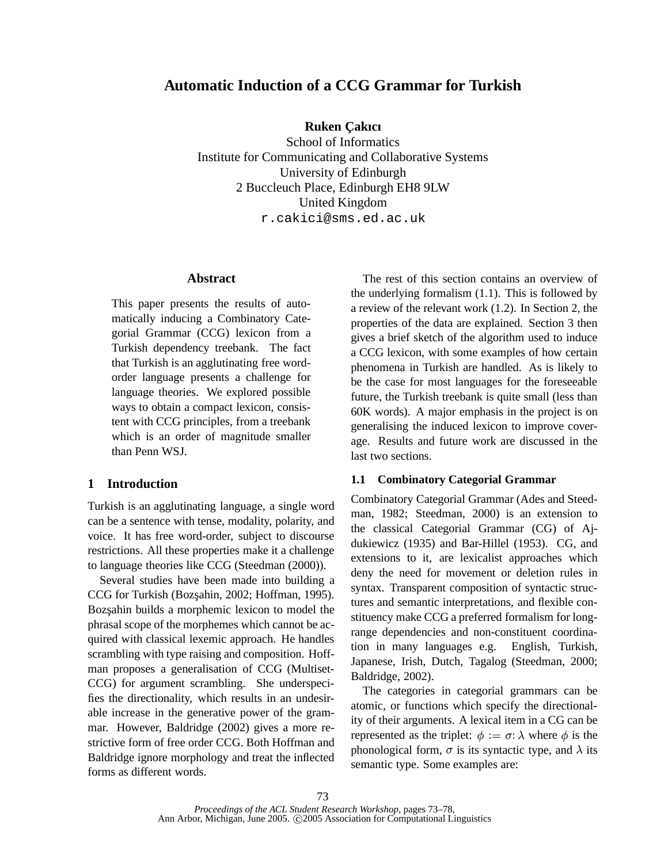# **Automatic Induction of a CCG Grammar for Turkish**

**Ruken C¸ akıcı**

School of Informatics Institute for Communicating and Collaborative Systems University of Edinburgh 2 Buccleuch Place, Edinburgh EH8 9LW United Kingdom r.cakici@sms.ed.ac.uk

### **Abstract**

This paper presents the results of automatically inducing a Combinatory Categorial Grammar (CCG) lexicon from a Turkish dependency treebank. The fact that Turkish is an agglutinating free wordorder language presents a challenge for language theories. We explored possible ways to obtain a compact lexicon, consistent with CCG principles, from a treebank which is an order of magnitude smaller than Penn WSJ.

### **1 Introduction**

Turkish is an agglutinating language, a single word can be a sentence with tense, modality, polarity, and voice. It has free word-order, subject to discourse restrictions. All these properties make it a challenge to language theories like CCG (Steedman (2000)).

Several studies have been made into building a CCG for Turkish (Bozşahin, 2002; Hoffman, 1995). Bozsahin builds a morphemic lexicon to model the phrasal scope of the morphemes which cannot be acquired with classical lexemic approach. He handles scrambling with type raising and composition. Hoffman proposes a generalisation of CCG (Multiset-CCG) for argument scrambling. She underspecifies the directionality, which results in an undesirable increase in the generative power of the grammar. However, Baldridge (2002) gives a more restrictive form of free order CCG. Both Hoffman and Baldridge ignore morphology and treat the inflected forms as different words.

The rest of this section contains an overview of the underlying formalism (1.1). This is followed by a review of the relevant work (1.2). In Section 2, the properties of the data are explained. Section 3 then gives a brief sketch of the algorithm used to induce a CCG lexicon, with some examples of how certain phenomena in Turkish are handled. As is likely to be the case for most languages for the foreseeable future, the Turkish treebank is quite small (less than 60K words). A major emphasis in the project is on generalising the induced lexicon to improve coverage. Results and future work are discussed in the last two sections.

# **1.1 Combinatory Categorial Grammar**

Combinatory Categorial Grammar (Ades and Steedman, 1982; Steedman, 2000) is an extension to the classical Categorial Grammar (CG) of Ajdukiewicz (1935) and Bar-Hillel (1953). CG, and extensions to it, are lexicalist approaches which deny the need for movement or deletion rules in syntax. Transparent composition of syntactic structures and semantic interpretations, and flexible constituency make CCG a preferred formalism for longrange dependencies and non-constituent coordination in many languages e.g. English, Turkish, Japanese, Irish, Dutch, Tagalog (Steedman, 2000; Baldridge, 2002).

The categories in categorial grammars can be atomic, or functions which specify the directionality of their arguments. A lexical item in a CG can be represented as the triplet:  $\phi := \sigma : \lambda$  where  $\phi$  is the phonological form,  $\sigma$  is its syntactic type, and  $\lambda$  its semantic type. Some examples are: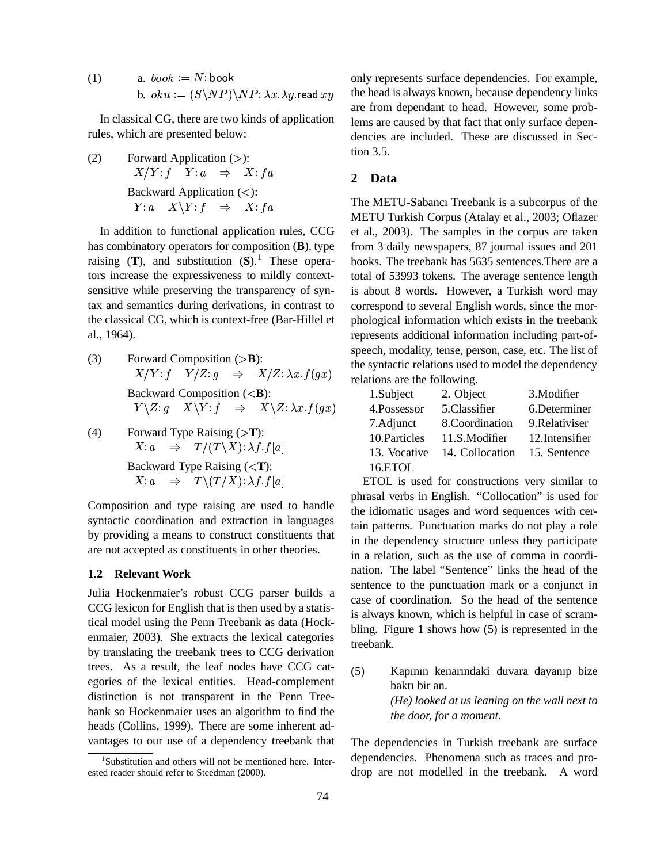(1)  $a. \;book := N:book$ b.  $oku := (S\backslash NP)\backslash NP$ :  $\lambda x.\lambda y$ .read  $xy$ 

In classical CG, there are two kinds of application rules, which are presented below:

(2) Forward Application  $(>)$ :  $X/Y: f \quad Y: a \quad \Rightarrow \quad X: fa$ Backward Application  $(<)$ :  $Y: a \quad X \backslash Y: f \quad \Rightarrow \quad X: fa$ 

In addition to functional application rules, CCG has combinatory operators for composition (**B**), type raising  $(T)$ , and substitution  $(S)$ .<sup>1</sup> These operators increase the expressiveness to mildly contextsensitive while preserving the transparency of syntax and semantics during derivations, in contrast to the classical CG, which is context-free (Bar-Hillel et al., 1964).

(3) Forward Composition  $(>\mathbf{B})$ :  $X/Y: f Y/Z: g \Rightarrow X/Z: \lambda x.f(gx)$ Backward Composition (<**B**):  $Y\setminus Z: q \quad X\setminus Y: f \quad \Rightarrow \quad X\setminus Z: \lambda x. f(qx)$ 

(4) Forward Type Raising (>T):  
\n
$$
X: a \Rightarrow T/(T \setminus X): \lambda f.f[a]
$$
  
\nBackward Type Raising (\n $X: a \Rightarrow T \setminus (T/X): \lambda f.f[a]$ 

Composition and type raising are used to handle syntactic coordination and extraction in languages by providing a means to construct constituents that are not accepted as constituents in other theories.

### **1.2 Relevant Work**

Julia Hockenmaier's robust CCG parser builds a CCG lexicon for English that is then used by a statistical model using the Penn Treebank as data (Hockenmaier, 2003). She extracts the lexical categories by translating the treebank trees to CCG derivation trees. As a result, the leaf nodes have CCG categories of the lexical entities. Head-complement distinction is not transparent in the Penn Treebank so Hockenmaier uses an algorithm to find the heads (Collins, 1999). There are some inherent advantages to our use of a dependency treebank that

only represents surface dependencies. For example, the head is always known, because dependency links are from dependant to head. However, some problems are caused by that fact that only surface dependencies are included. These are discussed in Section 3.5.

## **2 Data**

The METU-Sabancı Treebank is a subcorpus of the METU Turkish Corpus (Atalay et al., 2003; Oflazer et al., 2003). The samples in the corpus are taken from 3 daily newspapers, 87 journal issues and 201 books. The treebank has 5635 sentences.There are a total of 53993 tokens. The average sentence length is about 8 words. However, a Turkish word may correspond to several English words, since the morphological information which exists in the treebank represents additional information including part-ofspeech, modality, tense, person, case, etc. The list of the syntactic relations used to model the dependency relations are the following.

| 1.Subject     | 2. Object       | 3. Modifier     |
|---------------|-----------------|-----------------|
| 4.Possessor   | 5.Classifier    | 6.Determiner    |
| 7.Adjunct     | 8.Coordination  | 9. Relativiser  |
| 10. Particles | 11.S.Modifier   | 12. Intensifier |
| 13. Vocative  | 14. Collocation | 15. Sentence    |
| 16.ETOL       |                 |                 |

ETOL is used for constructions very similar to phrasal verbs in English. "Collocation" is used for the idiomatic usages and word sequences with certain patterns. Punctuation marks do not play a role in the dependency structure unless they participate in a relation, such as the use of comma in coordination. The label "Sentence" links the head of the sentence to the punctuation mark or a conjunct in case of coordination. So the head of the sentence is always known, which is helpful in case of scrambling. Figure 1 shows how (5) is represented in the treebank.

(5) Kapının kenarındaki duvara dayanıp bize baktı bir an. *(He) looked at us leaning on the wall next to the door, for a moment.*

The dependencies in Turkish treebank are surface dependencies. Phenomena such as traces and prodrop are not modelled in the treebank. A word

<sup>1</sup> Substitution and others will not be mentioned here. Interested reader should refer to Steedman (2000).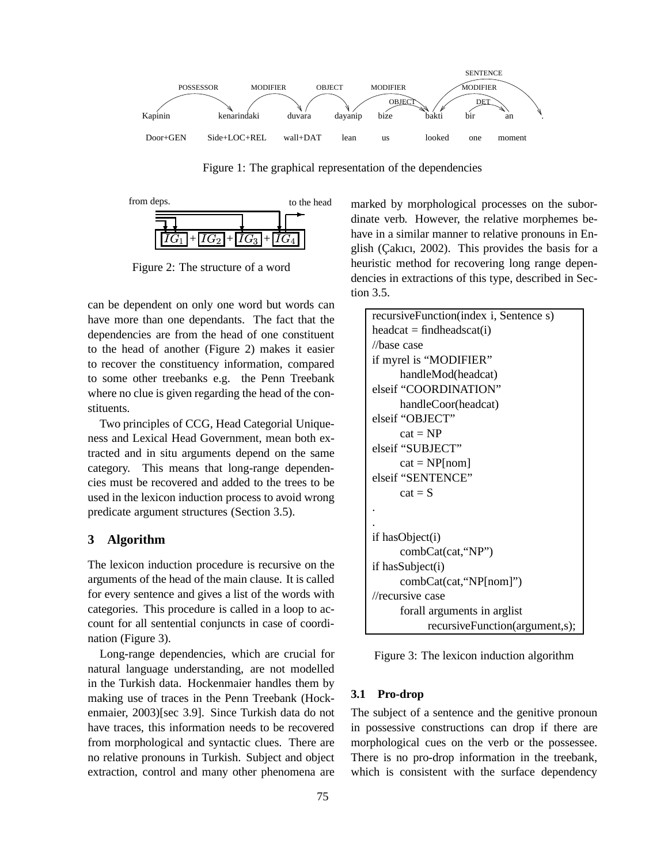

Figure 1: The graphical representation of the dependencies



Figure 2: The structure of a word

can be dependent on only one word but words can have more than one dependants. The fact that the dependencies are from the head of one constituent to the head of another (Figure 2) makes it easier to recover the constituency information, compared to some other treebanks e.g. the Penn Treebank where no clue is given regarding the head of the constituents.

Two principles of CCG, Head Categorial Uniqueness and Lexical Head Government, mean both extracted and in situ arguments depend on the same category. This means that long-range dependencies must be recovered and added to the trees to be used in the lexicon induction process to avoid wrong predicate argument structures (Section 3.5).

### **3 Algorithm**

The lexicon induction procedure is recursive on the arguments of the head of the main clause. It is called for every sentence and gives a list of the words with categories. This procedure is called in a loop to account for all sentential conjuncts in case of coordination (Figure 3).

Long-range dependencies, which are crucial for natural language understanding, are not modelled in the Turkish data. Hockenmaier handles them by making use of traces in the Penn Treebank (Hockenmaier, 2003)[sec 3.9]. Since Turkish data do not have traces, this information needs to be recovered from morphological and syntactic clues. There are no relative pronouns in Turkish. Subject and object extraction, control and many other phenomena are

marked by morphological processes on the subordinate verb. However, the relative morphemes behave in a similar manner to relative pronouns in English (Çakıcı, 2002). This provides the basis for a heuristic method for recovering long range dependencies in extractions of this type, described in Section 3.5.

```
recursiveFunction(index i, Sentence s)
heacat = findheadscat(i)//base case
if myrel is "MODIFIER"
     handleMod(headcat)
elseif "COORDINATION"
     handleCoor(headcat)
elseif "OBJECT"
     cat = NPelseif "SUBJECT"
     cat = NP[nom]elseif "SENTENCE"
     cat = S.
.
if hasObject(i)
     combCat(cat,"NP")
if hasSubject(i)
     combCat(cat,"NP[nom]")
//recursive case
     forall arguments in arglist
           recursiveFunction(argument,s);
```
Figure 3: The lexicon induction algorithm

### **3.1 Pro-drop**

The subject of a sentence and the genitive pronoun in possessive constructions can drop if there are morphological cues on the verb or the possessee. There is no pro-drop information in the treebank, which is consistent with the surface dependency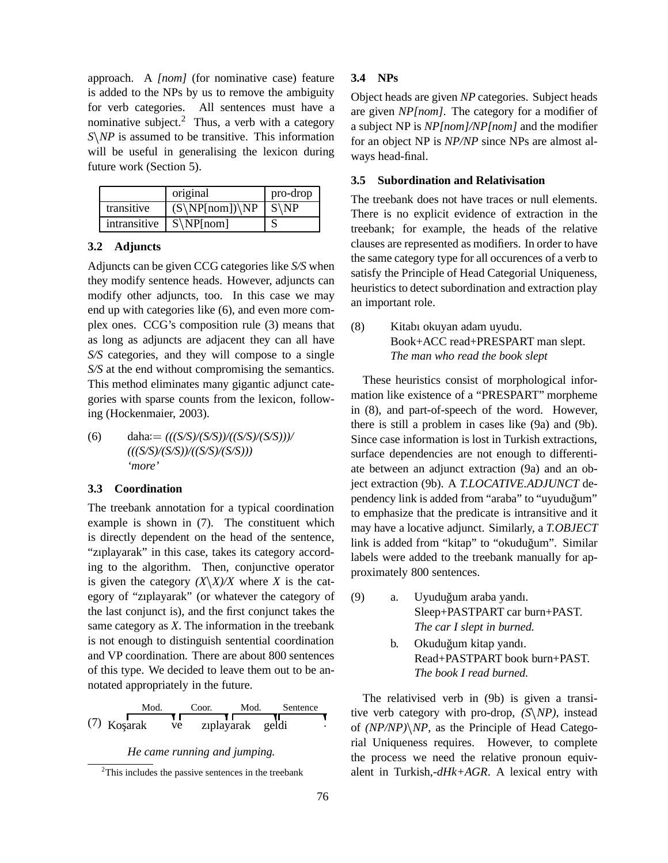approach. A *[nom]* (for nominative case) feature is added to the NPs by us to remove the ambiguity for verb categories. All sentences must have a nominative subject.<sup>2</sup> Thus, a verb with a category *S NP* is assumed to be transitive. This information will be useful in generalising the lexicon during future work (Section 5).

|              | original         | pro-drop         |
|--------------|------------------|------------------|
| transitive   | $(S\NP[nom])\NP$ | $S\backslash NP$ |
| intransitive | $S\NP[nom]$      |                  |

# **3.2 Adjuncts**

Adjuncts can be given CCG categories like *S/S* when they modify sentence heads. However, adjuncts can modify other adjuncts, too. In this case we may end up with categories like (6), and even more complex ones. CCG's composition rule (3) means that as long as adjuncts are adjacent they can all have *S/S* categories, and they will compose to a single *S/S* at the end without compromising the semantics. This method eliminates many gigantic adjunct categories with sparse counts from the lexicon, following (Hockenmaier, 2003).

(6) daha:= $(((S/S)/(S/S))/(S/S)/(S/S/)))/$ *(((S/S)/(S/S))/((S/S)/(S/S))) 'more'*

#### **3.3 Coordination**

The treebank annotation for a typical coordination example is shown in (7). The constituent which is directly dependent on the head of the sentence, "zıplayarak" in this case, takes its category according to the algorithm. Then, conjunctive operator is given the category  $(X \ X) / X$  where *X* is the category of "zıplayarak" (or whatever the category of the last conjunct is), and the first conjunct takes the same category as *X*. The information in the treebank is not enough to distinguish sentential coordination and VP coordination. There are about 800 sentences of this type. We decided to leave them out to be annotated appropriately in the future.

| Mod.          |    | Coor.            | Mod. | Sentence | tive        |
|---------------|----|------------------|------|----------|-------------|
| $(7)$ Koşarak | ve | zıplayarak geldi |      |          | of $\alpha$ |
|               |    |                  |      |          |             |

### *He came running and jumping.*

 $2$ This includes the passive sentences in the treebank

### **3.4 NPs**

Object heads are given *NP* categories. Subject heads are given *NP[nom]*. The category for a modifier of a subject NP is *NP[nom]/NP[nom]* and the modifier for an object NP is *NP/NP* since NPs are almost always head-final.

### **3.5 Subordination and Relativisation**

The treebank does not have traces or null elements. There is no explicit evidence of extraction in the treebank; for example, the heads of the relative clauses are represented as modifiers. In order to have the same category type for all occurences of a verb to satisfy the Principle of Head Categorial Uniqueness, heuristics to detect subordination and extraction play an important role.

(8) Kitabı okuyan adam uyudu. Book+ACC read+PRESPART man slept. *The man who read the book slept*

These heuristics consist of morphological information like existence of a "PRESPART" morpheme in (8), and part-of-speech of the word. However, there is still a problem in cases like (9a) and (9b). Since case information is lost in Turkish extractions, surface dependencies are not enough to differentiate between an adjunct extraction (9a) and an object extraction (9b). A *T.LOCATIVE.ADJUNCT* dependency link is added from "araba" to "uyudugum" ˘ to emphasize that the predicate is intransitive and it may have a locative adjunct. Similarly, a *T.OBJECT* link is added from "kitap" to "okuduğum". Similar labels were added to the treebank manually for approximately 800 sentences.

- (9) a. Uyuduğum araba yandı. Sleep+PASTPART car burn+PAST. *The car I slept in burned.*
	- b. Okuduğum kitap yandı. Read+PASTPART book burn+PAST. *The book I read burned.*

The relativised verb in (9b) is given a transitive verb category with pro-drop, *(S NP)*, instead of *(NP/NP) NP*, as the Principle of Head Categorial Uniqueness requires. However, to complete the process we need the relative pronoun equivalent in Turkish,*-dHk+AGR*. A lexical entry with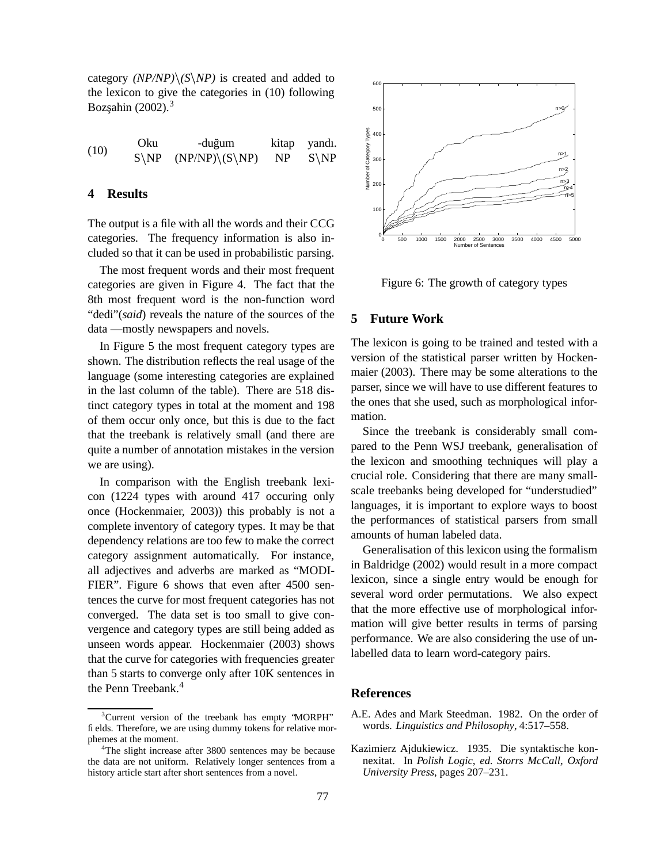category  $(NP/NP) \setminus (S \setminus NP)$  is created and added to the lexicon to give the categories in (10) following Bozşahin  $(2002).$ <sup>3</sup>

 $(10)$  Oku -duğum kitap yandı.<br>  $(10)$  S\ND (NDAUD\\S\ND) ND S\ND  $S\backslash NP$  $NP$  (NP/NP)  $(S\NP)$  1 NP) NP S NP

### **4 Results**

The output is a file with all the words and their CCG categories. The frequency information is also included so that it can be used in probabilistic parsing.

The most frequent words and their most frequent categories are given in Figure 4. The fact that the 8th most frequent word is the non-function word "dedi"(*said*) reveals the nature of the sources of the data —mostly newspapers and novels.

In Figure 5 the most frequent category types are shown. The distribution reflects the real usage of the language (some interesting categories are explained in the last column of the table). There are 518 distinct category types in total at the moment and 198 of them occur only once, but this is due to the fact that the treebank is relatively small (and there are quite a number of annotation mistakes in the version we are using).

In comparison with the English treebank lexicon (1224 types with around 417 occuring only once (Hockenmaier, 2003)) this probably is not a complete inventory of category types. It may be that dependency relations are too few to make the correct category assignment automatically. For instance, all adjectives and adverbs are marked as "MODI-FIER". Figure 6 shows that even after 4500 sentences the curve for most frequent categories has not converged. The data set is too small to give convergence and category types are still being added as unseen words appear. Hockenmaier (2003) shows that the curve for categories with frequencies greater than 5 starts to converge only after 10K sentences in the Penn Treebank.<sup>4</sup>



Figure 6: The growth of category types

#### **5 Future Work**

The lexicon is going to be trained and tested with a version of the statistical parser written by Hockenmaier (2003). There may be some alterations to the parser, since we will have to use different features to the ones that she used, such as morphological information.

Since the treebank is considerably small compared to the Penn WSJ treebank, generalisation of the lexicon and smoothing techniques will play a crucial role. Considering that there are many smallscale treebanks being developed for "understudied" languages, it is important to explore ways to boost the performances of statistical parsers from small amounts of human labeled data.

Generalisation of this lexicon using the formalism in Baldridge (2002) would result in a more compact lexicon, since a single entry would be enough for several word order permutations. We also expect that the more effective use of morphological information will give better results in terms of parsing performance. We are also considering the use of unlabelled data to learn word-category pairs.

#### **References**

- A.E. Ades and Mark Steedman. 1982. On the order of words. *Linguistics and Philosophy*, 4:517–558.
- Kazimierz Ajdukiewicz. 1935. Die syntaktische konnexitat. In *Polish Logic, ed. Storrs McCall, Oxford University Press*, pages 207–231.

 $3$ Current version of the treebank has empty 'MORPH' fields. Therefore, we are using dummy tokens for relative morphemes at the moment.

<sup>&</sup>lt;sup>4</sup>The slight increase after 3800 sentences may be because the data are not uniform. Relatively longer sentences from a history article start after short sentences from a novel.